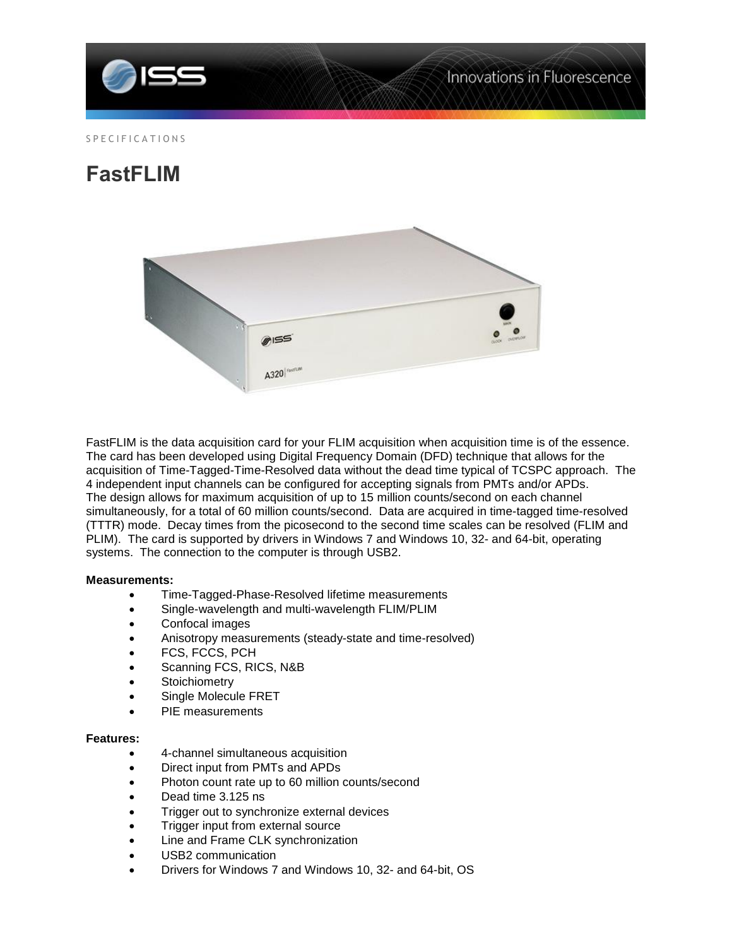

## S P E C I F I C A T I O N S

# **FastFLIM**



FastFLIM is the data acquisition card for your FLIM acquisition when acquisition time is of the essence. The card has been developed using Digital Frequency Domain (DFD) technique that allows for the acquisition of Time-Tagged-Time-Resolved data without the dead time typical of TCSPC approach. The 4 independent input channels can be configured for accepting signals from PMTs and/or APDs. The design allows for maximum acquisition of up to 15 million counts/second on each channel simultaneously, for a total of 60 million counts/second. Data are acquired in time-tagged time-resolved (TTTR) mode. Decay times from the picosecond to the second time scales can be resolved (FLIM and PLIM). The card is supported by drivers in Windows 7 and Windows 10, 32- and 64-bit, operating systems. The connection to the computer is through USB2.

#### **Measurements:**

- Time-Tagged-Phase-Resolved lifetime measurements
- Single-wavelength and multi-wavelength FLIM/PLIM
- Confocal images
- Anisotropy measurements (steady-state and time-resolved)
- FCS, FCCS, PCH
- Scanning FCS, RICS, N&B
- **Stoichiometry**
- Single Molecule FRET
- PIE measurements

## **Features:**

- 4-channel simultaneous acquisition
- Direct input from PMTs and APDs
- Photon count rate up to 60 million counts/second
- Dead time 3.125 ns
- Trigger out to synchronize external devices
- Trigger input from external source
- Line and Frame CLK synchronization
- USB2 communication
- Drivers for Windows 7 and Windows 10, 32- and 64-bit, OS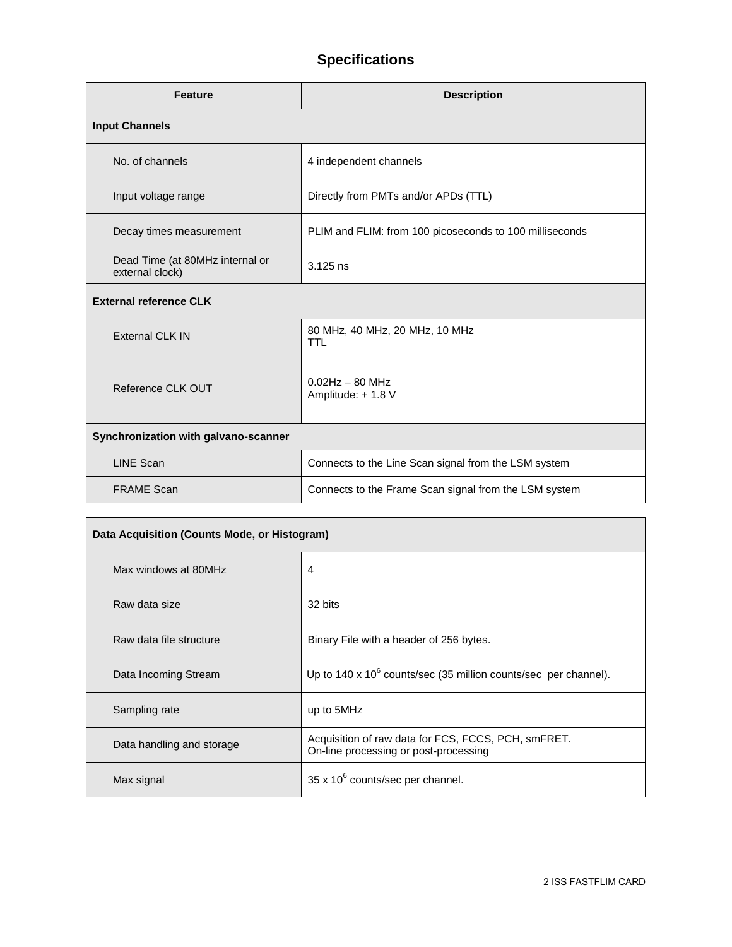# **Specifications**

| <b>Feature</b>                                     | <b>Description</b>                                      |  |
|----------------------------------------------------|---------------------------------------------------------|--|
| <b>Input Channels</b>                              |                                                         |  |
| No. of channels                                    | 4 independent channels                                  |  |
| Input voltage range                                | Directly from PMTs and/or APDs (TTL)                    |  |
| Decay times measurement                            | PLIM and FLIM: from 100 picoseconds to 100 milliseconds |  |
| Dead Time (at 80MHz internal or<br>external clock) | $3.125$ ns                                              |  |
| <b>External reference CLK</b>                      |                                                         |  |
| <b>External CLK IN</b>                             | 80 MHz, 40 MHz, 20 MHz, 10 MHz<br><b>TTL</b>            |  |
| Reference CLK OUT                                  | $0.02$ Hz $-$ 80 MHz<br>Amplitude: + 1.8 V              |  |
| Synchronization with galvano-scanner               |                                                         |  |
| <b>LINE Scan</b>                                   | Connects to the Line Scan signal from the LSM system    |  |
| <b>FRAME Scan</b>                                  | Connects to the Frame Scan signal from the LSM system   |  |

| Data Acquisition (Counts Mode, or Histogram) |                                                                                              |  |
|----------------------------------------------|----------------------------------------------------------------------------------------------|--|
| Max windows at 80MHz                         | 4                                                                                            |  |
| Raw data size                                | 32 bits                                                                                      |  |
| Raw data file structure                      | Binary File with a header of 256 bytes.                                                      |  |
| Data Incoming Stream                         | Up to $140 \times 10^6$ counts/sec (35 million counts/sec per channel).                      |  |
| Sampling rate                                | up to 5MHz                                                                                   |  |
| Data handling and storage                    | Acquisition of raw data for FCS, FCCS, PCH, smFRET.<br>On-line processing or post-processing |  |
| Max signal                                   | $35 \times 10^6$ counts/sec per channel.                                                     |  |

<u> 1989 - Johann Stoff, deutscher Stoffen und der Stoffen und der Stoffen und der Stoffen und der Stoffen und der</u>

 $\blacksquare$ 

 $\overline{ }$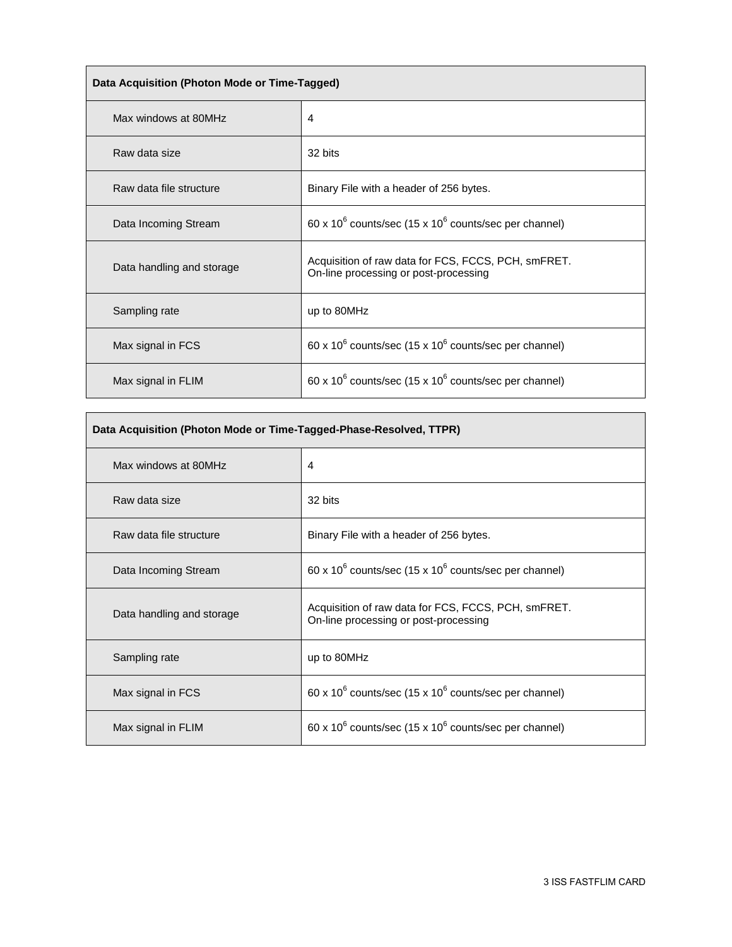| Data Acquisition (Photon Mode or Time-Tagged) |                                                                                              |  |
|-----------------------------------------------|----------------------------------------------------------------------------------------------|--|
| Max windows at 80MHz                          | 4                                                                                            |  |
| Raw data size                                 | 32 bits                                                                                      |  |
| Raw data file structure                       | Binary File with a header of 256 bytes.                                                      |  |
| Data Incoming Stream                          | 60 x 10 $\mathrm{^6}$ counts/sec (15 x 10 $\mathrm{^6}$ counts/sec per channel)              |  |
| Data handling and storage                     | Acquisition of raw data for FCS, FCCS, PCH, smFRET.<br>On-line processing or post-processing |  |
| Sampling rate                                 | up to 80MHz                                                                                  |  |
| Max signal in FCS                             | 60 x 10 $\mathrm{^6}$ counts/sec (15 x 10 $\mathrm{^6}$ counts/sec per channel)              |  |
| Max signal in FLIM                            | 60 x 10 $\mathrm{^6}$ counts/sec (15 x 10 $\mathrm{^6}$ counts/sec per channel)              |  |

<u> 1989 - Johann Stoff, fransk politik (d. 1989)</u>

 $\overline{\phantom{a}}$ 

| Data Acquisition (Photon Mode or Time-Tagged-Phase-Resolved, TTPR) |                                                                                              |  |
|--------------------------------------------------------------------|----------------------------------------------------------------------------------------------|--|
| Max windows at 80MHz                                               | 4                                                                                            |  |
| Raw data size                                                      | 32 bits                                                                                      |  |
| Raw data file structure                                            | Binary File with a header of 256 bytes.                                                      |  |
| Data Incoming Stream                                               | 60 x 10 $^6$ counts/sec (15 x 10 $^6$ counts/sec per channel)                                |  |
| Data handling and storage                                          | Acquisition of raw data for FCS, FCCS, PCH, smFRET.<br>On-line processing or post-processing |  |
| Sampling rate                                                      | up to 80MHz                                                                                  |  |
| Max signal in FCS                                                  | 60 x 10 $\mathrm{^6}$ counts/sec (15 x 10 $\mathrm{^6}$ counts/sec per channel)              |  |
| Max signal in FLIM                                                 | 60 x 10 $^6$ counts/sec (15 x 10 $^6$ counts/sec per channel)                                |  |

 $\overline{\phantom{a}}$